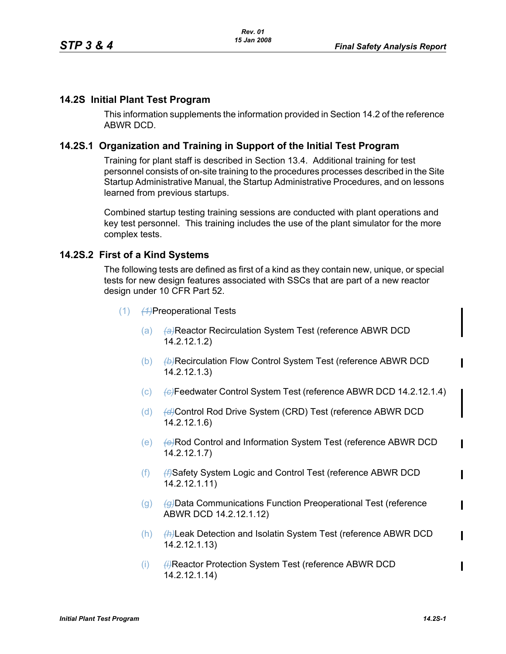## **14.2S Initial Plant Test Program**

This information supplements the information provided in Section 14.2 of the reference ABWR DCD.

## **14.2S.1 Organization and Training in Support of the Initial Test Program**

Training for plant staff is described in Section 13.4. Additional training for test personnel consists of on-site training to the procedures processes described in the Site Startup Administrative Manual, the Startup Administrative Procedures, and on lessons learned from previous startups.

Combined startup testing training sessions are conducted with plant operations and key test personnel. This training includes the use of the plant simulator for the more complex tests.

### **14.2S.2 First of a Kind Systems**

The following tests are defined as first of a kind as they contain new, unique, or special tests for new design features associated with SSCs that are part of a new reactor design under 10 CFR Part 52.

- (1) *(1)*Preoperational Tests
	- (a) *(a)*Reactor Recirculation System Test (reference ABWR DCD 14.2.12.1.2)
	- (b) **(b) (b)**Recirculation Flow Control System Test (reference ABWR DCD 14.2.12.1.3)
	- (c) *(c)*Feedwater Control System Test (reference ABWR DCD 14.2.12.1.4)
	- (d) (d) (d) Control Rod Drive System (CRD) Test (reference ABWR DCD 14.2.12.1.6)
	- (e)  $\leftrightarrow$ Rod Control and Information System Test (reference ABWR DCD 14.2.12.1.7)
	- (f) *(f)*Safety System Logic and Control Test (reference ABWR DCD 14.2.12.1.11)
	- (g) *(g)*Data Communications Function Preoperational Test (reference ABWR DCD 14.2.12.1.12)
	- (h) *(h)*Leak Detection and Isolatin System Test (reference ABWR DCD 14.2.12.1.13)
	- (i) **(ii) (ii)** Reactor Protection System Test (reference ABWR DCD 14.2.12.1.14)

П

 $\mathbf I$ 

П

Π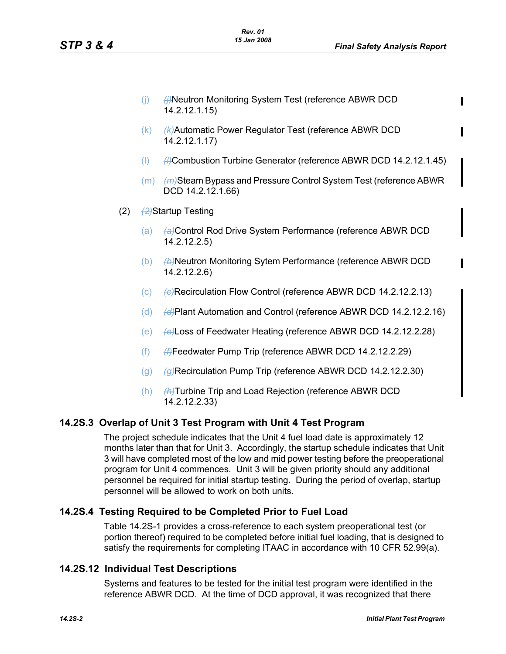- (i) **(j) (i)**Neutron Monitoring System Test (reference ABWR DCD 14.2.12.1.15)
- (k) *(k)*Automatic Power Regulator Test (reference ABWR DCD 14.2.12.1.17)
- (l) *(l)*Combustion Turbine Generator (reference ABWR DCD 14.2.12.1.45)
- (m) *(m)*Steam Bypass and Pressure Control System Test (reference ABWR DCD 14.2.12.1.66)
- (2) *(2)*Startup Testing
	- (a) *(a)*Control Rod Drive System Performance (reference ABWR DCD 14.2.12.2.5)
	- (b) *(b)*Neutron Monitoring Sytem Performance (reference ABWR DCD 14.2.12.2.6)
	- (c) (e)Recirculation Flow Control (reference ABWR DCD 14.2.12.2.13)
	- (d) *(d)*Plant Automation and Control (reference ABWR DCD 14.2.12.2.16)
	- (e) *(e)*Loss of Feedwater Heating (reference ABWR DCD 14.2.12.2.28)
	- (f) *(f)*Feedwater Pump Trip (reference ABWR DCD 14.2.12.2.29)
	- (g) *(g)*Recirculation Pump Trip (reference ABWR DCD 14.2.12.2.30)
	- (h) *(h)*Turbine Trip and Load Rejection (reference ABWR DCD 14.2.12.2.33)

# **14.2S.3 Overlap of Unit 3 Test Program with Unit 4 Test Program**

The project schedule indicates that the Unit 4 fuel load date is approximately 12 months later than that for Unit 3. Accordingly, the startup schedule indicates that Unit 3 will have completed most of the low and mid power testing before the preoperational program for Unit 4 commences. Unit 3 will be given priority should any additional personnel be required for initial startup testing. During the period of overlap, startup personnel will be allowed to work on both units.

# **14.2S.4 Testing Required to be Completed Prior to Fuel Load**

Table 14.2S-1 provides a cross-reference to each system preoperational test (or portion thereof) required to be completed before initial fuel loading, that is designed to satisfy the requirements for completing ITAAC in accordance with 10 CFR 52.99(a).

# **14.2S.12 Individual Test Descriptions**

Systems and features to be tested for the initial test program were identified in the reference ABWR DCD. At the time of DCD approval, it was recognized that there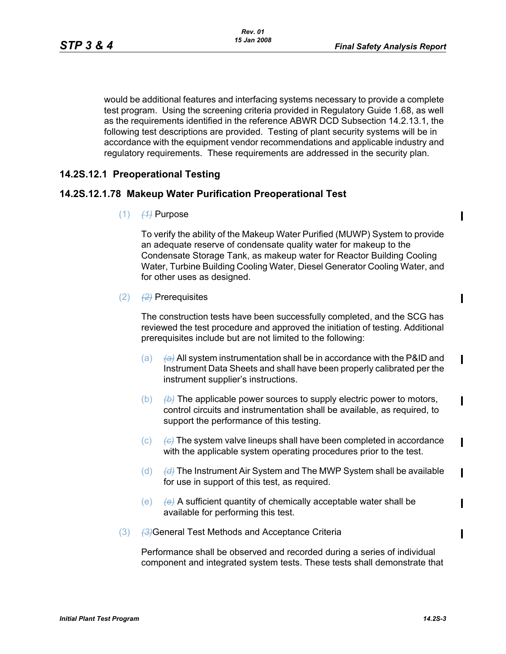Π

 $\blacksquare$ 

 $\mathbf I$ 

 $\mathbf I$ 

 $\blacksquare$ 

 $\mathbf I$ 

П

would be additional features and interfacing systems necessary to provide a complete test program. Using the screening criteria provided in Regulatory Guide 1.68, as well as the requirements identified in the reference ABWR DCD Subsection 14.2.13.1, the following test descriptions are provided. Testing of plant security systems will be in accordance with the equipment vendor recommendations and applicable industry and regulatory requirements. These requirements are addressed in the security plan.

## **14.2S.12.1 Preoperational Testing**

### **14.2S.12.1.78 Makeup Water Purification Preoperational Test**

 $(1)$   $(4)$  Purpose

To verify the ability of the Makeup Water Purified (MUWP) System to provide an adequate reserve of condensate quality water for makeup to the Condensate Storage Tank, as makeup water for Reactor Building Cooling Water, Turbine Building Cooling Water, Diesel Generator Cooling Water, and for other uses as designed.

(2) *(2)* Prerequisites

The construction tests have been successfully completed, and the SCG has reviewed the test procedure and approved the initiation of testing. Additional prerequisites include but are not limited to the following:

- (a) *(a)* All system instrumentation shall be in accordance with the P&ID and Instrument Data Sheets and shall have been properly calibrated per the instrument supplier's instructions.
- (b) *(b)* The applicable power sources to supply electric power to motors, control circuits and instrumentation shall be available, as required, to support the performance of this testing.
- (c) *(c)* The system valve lineups shall have been completed in accordance with the applicable system operating procedures prior to the test.
- (d) *(d)* The Instrument Air System and The MWP System shall be available for use in support of this test, as required.
- (e) *(e)* A sufficient quantity of chemically acceptable water shall be available for performing this test.
- (3) **(3)**General Test Methods and Acceptance Criteria

Performance shall be observed and recorded during a series of individual component and integrated system tests. These tests shall demonstrate that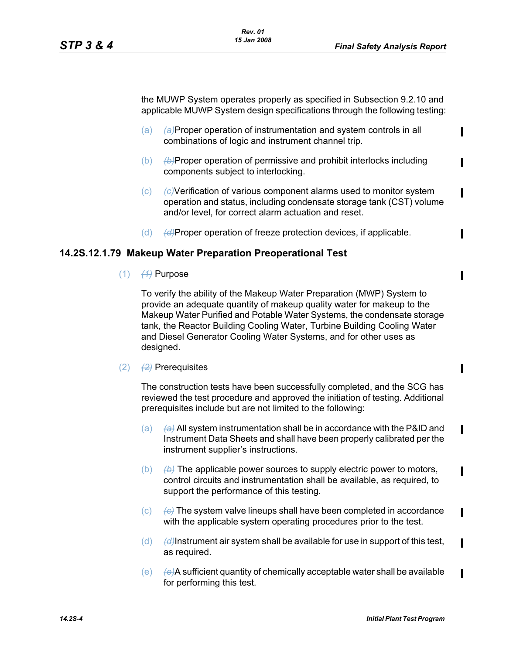$\mathbf I$ 

 $\mathbf I$ 

Ι

 $\mathbf I$ 

the MUWP System operates properly as specified in Subsection 9.2.10 and applicable MUWP System design specifications through the following testing:

- (a) *(a)*Proper operation of instrumentation and system controls in all combinations of logic and instrument channel trip.
- (b) *(b)*Proper operation of permissive and prohibit interlocks including components subject to interlocking.
- (c) *(c)*Verification of various component alarms used to monitor system operation and status, including condensate storage tank (CST) volume and/or level, for correct alarm actuation and reset.
- (d) *(d)*Proper operation of freeze protection devices, if applicable.

#### **14.2S.12.1.79 Makeup Water Preparation Preoperational Test**

(1) *(1)* Purpose

To verify the ability of the Makeup Water Preparation (MWP) System to provide an adequate quantity of makeup quality water for makeup to the Makeup Water Purified and Potable Water Systems, the condensate storage tank, the Reactor Building Cooling Water, Turbine Building Cooling Water and Diesel Generator Cooling Water Systems, and for other uses as designed.

(2) *(2)* Prerequisites

The construction tests have been successfully completed, and the SCG has reviewed the test procedure and approved the initiation of testing. Additional prerequisites include but are not limited to the following:

- (a) *(a)* All system instrumentation shall be in accordance with the P&ID and Instrument Data Sheets and shall have been properly calibrated per the instrument supplier's instructions.
- (b) *(b)* The applicable power sources to supply electric power to motors, control circuits and instrumentation shall be available, as required, to support the performance of this testing.
- (c) *(c)* The system valve lineups shall have been completed in accordance with the applicable system operating procedures prior to the test.
- (d) *(d)*Instrument air system shall be available for use in support of this test, as required.
- (e) *(e)*A sufficient quantity of chemically acceptable water shall be available for performing this test.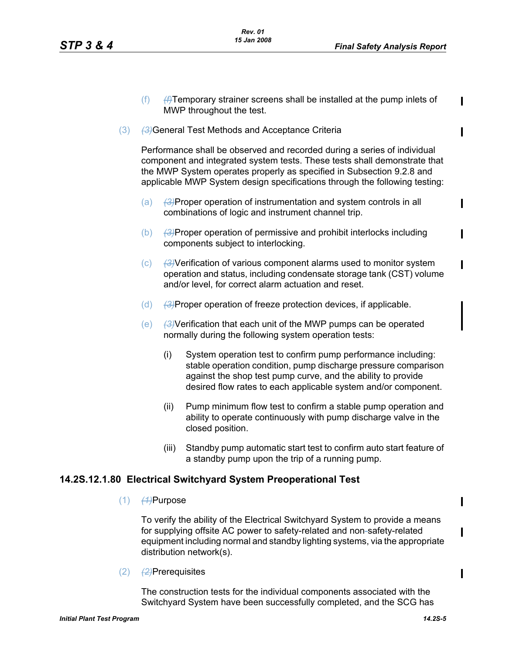П

- (f) *(f)*Temporary strainer screens shall be installed at the pump inlets of MWP throughout the test.
- (3) *(3)*General Test Methods and Acceptance Criteria

Performance shall be observed and recorded during a series of individual component and integrated system tests. These tests shall demonstrate that the MWP System operates properly as specified in Subsection 9.2.8 and applicable MWP System design specifications through the following testing:

- (a) *(3)*Proper operation of instrumentation and system controls in all combinations of logic and instrument channel trip.
- (b) *(3)*Proper operation of permissive and prohibit interlocks including components subject to interlocking.
- (c) *(3)*Verification of various component alarms used to monitor system operation and status, including condensate storage tank (CST) volume and/or level, for correct alarm actuation and reset.
- (d) *(3)*Proper operation of freeze protection devices, if applicable.
- (e) *(3)*Verification that each unit of the MWP pumps can be operated normally during the following system operation tests:
	- (i) System operation test to confirm pump performance including: stable operation condition, pump discharge pressure comparison against the shop test pump curve, and the ability to provide desired flow rates to each applicable system and/or component.
	- (ii) Pump minimum flow test to confirm a stable pump operation and ability to operate continuously with pump discharge valve in the closed position.
	- (iii) Standby pump automatic start test to confirm auto start feature of a standby pump upon the trip of a running pump.

### **14.2S.12.1.80 Electrical Switchyard System Preoperational Test**

(1) *(1)*Purpose

To verify the ability of the Electrical Switchyard System to provide a means for supplying offsite AC power to safety-related and non-safety-related equipment including normal and standby lighting systems, via the appropriate distribution network(s).

(2) *(2)*Prerequisites

The construction tests for the individual components associated with the Switchyard System have been successfully completed, and the SCG has  $\mathbf I$ 

I

Π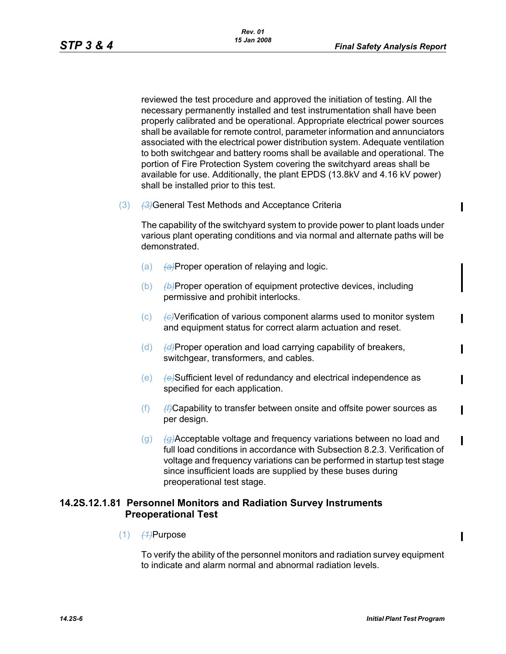$\blacksquare$ 

 $\mathbf I$ 

 $\mathbf I$ 

 $\mathbf I$ 

reviewed the test procedure and approved the initiation of testing. All the necessary permanently installed and test instrumentation shall have been properly calibrated and be operational. Appropriate electrical power sources shall be available for remote control, parameter information and annunciators associated with the electrical power distribution system. Adequate ventilation to both switchgear and battery rooms shall be available and operational. The portion of Fire Protection System covering the switchyard areas shall be available for use. Additionally, the plant EPDS (13.8kV and 4.16 kV power) shall be installed prior to this test.

(3) **(3)**General Test Methods and Acceptance Criteria

The capability of the switchyard system to provide power to plant loads under various plant operating conditions and via normal and alternate paths will be demonstrated.

- (a) *(a)*Proper operation of relaying and logic.
- (b) *(b)*Proper operation of equipment protective devices, including permissive and prohibit interlocks.
- (c) *(c)*Verification of various component alarms used to monitor system and equipment status for correct alarm actuation and reset.
- (d) *(d)*Proper operation and load carrying capability of breakers, switchgear, transformers, and cables.
- (e) *(e)*Sufficient level of redundancy and electrical independence as specified for each application.
- (f) *(f)*Capability to transfer between onsite and offsite power sources as per design.
- (g) *(g)*Acceptable voltage and frequency variations between no load and full load conditions in accordance with Subsection 8.2.3. Verification of voltage and frequency variations can be performed in startup test stage since insufficient loads are supplied by these buses during preoperational test stage.

## **14.2S.12.1.81 Personnel Monitors and Radiation Survey Instruments Preoperational Test**

(1) *(1)*Purpose

To verify the ability of the personnel monitors and radiation survey equipment to indicate and alarm normal and abnormal radiation levels.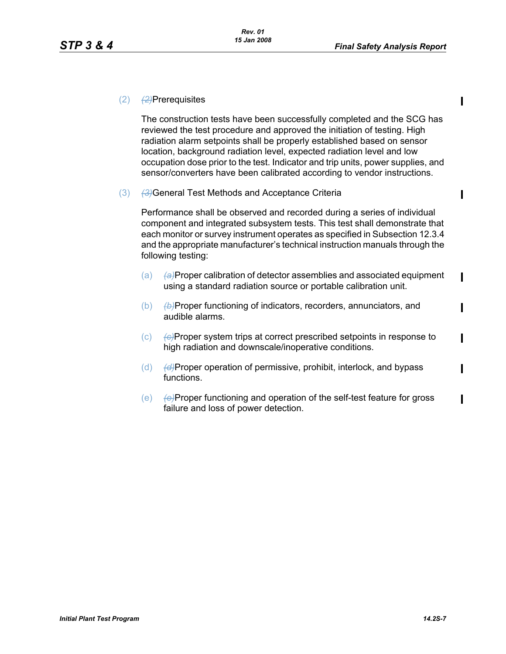П

 $\mathbf I$ 

 $\mathbf I$ 

П

 $\mathbf I$ 

Π

П

### (2) *(2)*Prerequisites

The construction tests have been successfully completed and the SCG has reviewed the test procedure and approved the initiation of testing. High radiation alarm setpoints shall be properly established based on sensor location, background radiation level, expected radiation level and low occupation dose prior to the test. Indicator and trip units, power supplies, and sensor/converters have been calibrated according to vendor instructions.

(3) **(3)**General Test Methods and Acceptance Criteria

Performance shall be observed and recorded during a series of individual component and integrated subsystem tests. This test shall demonstrate that each monitor or survey instrument operates as specified in Subsection 12.3.4 and the appropriate manufacturer's technical instruction manuals through the following testing:

- (a) *(a)*Proper calibration of detector assemblies and associated equipment using a standard radiation source or portable calibration unit.
- (b) *(b)*Proper functioning of indicators, recorders, annunciators, and audible alarms.
- (c) *(c)*Proper system trips at correct prescribed setpoints in response to high radiation and downscale/inoperative conditions.
- (d) *(d)*Proper operation of permissive, prohibit, interlock, and bypass functions.
- (e) *(e)*Proper functioning and operation of the self-test feature for gross failure and loss of power detection.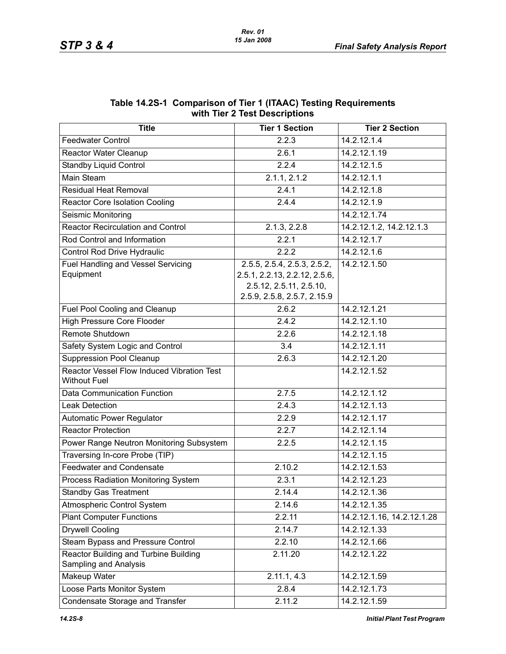| WILIT TIEF Z TEST DESCRIPTIONS                                    |                                                                                                                        |                            |  |  |  |  |
|-------------------------------------------------------------------|------------------------------------------------------------------------------------------------------------------------|----------------------------|--|--|--|--|
| <b>Title</b>                                                      | <b>Tier 1 Section</b>                                                                                                  | <b>Tier 2 Section</b>      |  |  |  |  |
| <b>Feedwater Control</b>                                          | 2.2.3                                                                                                                  | 14.2.12.1.4                |  |  |  |  |
| <b>Reactor Water Cleanup</b>                                      | 2.6.1                                                                                                                  | 14.2.12.1.19               |  |  |  |  |
| <b>Standby Liquid Control</b>                                     | 2.2.4                                                                                                                  | 14.2.12.1.5                |  |  |  |  |
| Main Steam                                                        | 2.1.1, 2.1.2                                                                                                           | 14.2.12.1.1                |  |  |  |  |
| <b>Residual Heat Removal</b>                                      | 2.4.1                                                                                                                  | 14.2.12.1.8                |  |  |  |  |
| <b>Reactor Core Isolation Cooling</b>                             | 2.4.4                                                                                                                  | 14.2.12.1.9                |  |  |  |  |
| Seismic Monitoring                                                |                                                                                                                        | 14.2.12.1.74               |  |  |  |  |
| <b>Reactor Recirculation and Control</b>                          | 2.1.3, 2.2.8                                                                                                           | 14.2.12.1.2, 14.2.12.1.3   |  |  |  |  |
| Rod Control and Information                                       | 2.2.1                                                                                                                  | 14.2.12.1.7                |  |  |  |  |
| Control Rod Drive Hydraulic                                       | 2.2.2                                                                                                                  | 14.2.12.1.6                |  |  |  |  |
| <b>Fuel Handling and Vessel Servicing</b><br>Equipment            | 2.5.5, 2.5.4, 2.5.3, 2.5.2,<br>2.5.1, 2.2.13, 2.2.12, 2.5.6,<br>2.5.12, 2.5.11, 2.5.10,<br>2.5.9, 2.5.8, 2.5.7, 2.15.9 | 14.2.12.1.50               |  |  |  |  |
| Fuel Pool Cooling and Cleanup                                     | 2.6.2                                                                                                                  | 14.2.12.1.21               |  |  |  |  |
| <b>High Pressure Core Flooder</b>                                 | 2.4.2                                                                                                                  | 14.2.12.1.10               |  |  |  |  |
| Remote Shutdown                                                   | 2.2.6                                                                                                                  | 14.2.12.1.18               |  |  |  |  |
| Safety System Logic and Control                                   | 3.4                                                                                                                    | 14.2.12.1.11               |  |  |  |  |
| <b>Suppression Pool Cleanup</b>                                   | 2.6.3                                                                                                                  | 14.2.12.1.20               |  |  |  |  |
| Reactor Vessel Flow Induced Vibration Test<br><b>Without Fuel</b> |                                                                                                                        | 14.2.12.1.52               |  |  |  |  |
| Data Communication Function                                       | 2.7.5                                                                                                                  | 14.2.12.1.12               |  |  |  |  |
| <b>Leak Detection</b>                                             | 2.4.3                                                                                                                  | 14.2.12.1.13               |  |  |  |  |
| Automatic Power Regulator                                         | 2.2.9                                                                                                                  | 14.2.12.1.17               |  |  |  |  |
| <b>Reactor Protection</b>                                         | 2.2.7                                                                                                                  | 14.2.12.1.14               |  |  |  |  |
| Power Range Neutron Monitoring Subsystem                          | 2.2.5                                                                                                                  | 14.2.12.1.15               |  |  |  |  |
| Traversing In-core Probe (TIP)                                    |                                                                                                                        | 14.2.12.1.15               |  |  |  |  |
| <b>Feedwater and Condensate</b>                                   | 2.10.2                                                                                                                 | 14.2.12.1.53               |  |  |  |  |
| Process Radiation Monitoring System                               | 2.3.1                                                                                                                  | 14.2.12.1.23               |  |  |  |  |
| <b>Standby Gas Treatment</b>                                      | 2.14.4                                                                                                                 | 14.2.12.1.36               |  |  |  |  |
| Atmospheric Control System                                        | 2.14.6                                                                                                                 | 14.2.12.1.35               |  |  |  |  |
| <b>Plant Computer Functions</b>                                   | 2.2.11                                                                                                                 | 14.2.12.1.16, 14.2.12.1.28 |  |  |  |  |
| <b>Drywell Cooling</b>                                            | 2.14.7                                                                                                                 | 14.2.12.1.33               |  |  |  |  |
| Steam Bypass and Pressure Control                                 | 2.2.10                                                                                                                 | 14.2.12.1.66               |  |  |  |  |
| Reactor Building and Turbine Building<br>Sampling and Analysis    | 2.11.20                                                                                                                | 14.2.12.1.22               |  |  |  |  |
| Makeup Water                                                      | 2.11.1, 4.3                                                                                                            | 14.2.12.1.59               |  |  |  |  |
| Loose Parts Monitor System                                        | 2.8.4                                                                                                                  | 14.2.12.1.73               |  |  |  |  |
| Condensate Storage and Transfer                                   | 2.11.2                                                                                                                 | 14.2.12.1.59               |  |  |  |  |

#### **Table 14.2S-1 Comparison of Tier 1 (ITAAC) Testing Requirements with Tier 2 Test Descriptions**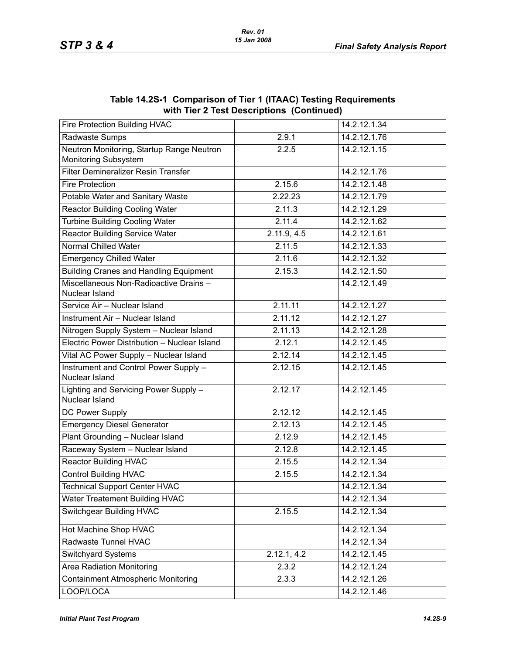| WILLI THE Z TEST DESCRIPTIONS (CONTINUED)                         |             |              |  |  |  |
|-------------------------------------------------------------------|-------------|--------------|--|--|--|
| Fire Protection Building HVAC                                     |             | 14.2.12.1.34 |  |  |  |
| Radwaste Sumps                                                    | 2.9.1       | 14.2.12.1.76 |  |  |  |
| Neutron Monitoring, Startup Range Neutron<br>Monitoring Subsystem | 2.2.5       | 14.2.12.1.15 |  |  |  |
| Filter Demineralizer Resin Transfer                               |             | 14.2.12.1.76 |  |  |  |
| <b>Fire Protection</b>                                            | 2.15.6      | 14.2.12.1.48 |  |  |  |
| Potable Water and Sanitary Waste                                  | 2.22.23     | 14.2.12.1.79 |  |  |  |
| <b>Reactor Building Cooling Water</b>                             | 2.11.3      | 14.2.12.1.29 |  |  |  |
| <b>Turbine Building Cooling Water</b>                             | 2.11.4      | 14.2.12.1.62 |  |  |  |
| <b>Reactor Building Service Water</b>                             | 2.11.9, 4.5 | 14.2.12.1.61 |  |  |  |
| Normal Chilled Water                                              | 2.11.5      | 14.2.12.1.33 |  |  |  |
| <b>Emergency Chilled Water</b>                                    | 2.11.6      | 14.2.12.1.32 |  |  |  |
| <b>Building Cranes and Handling Equipment</b>                     | 2.15.3      | 14.2.12.1.50 |  |  |  |
| Miscellaneous Non-Radioactive Drains-<br>Nuclear Island           |             | 14.2.12.1.49 |  |  |  |
| Service Air - Nuclear Island                                      | 2.11.11     | 14.2.12.1.27 |  |  |  |
| Instrument Air - Nuclear Island                                   | 2.11.12     | 14.2.12.1.27 |  |  |  |
| Nitrogen Supply System - Nuclear Island                           | 2.11.13     | 14.2.12.1.28 |  |  |  |
| Electric Power Distribution - Nuclear Island                      | 2.12.1      | 14.2.12.1.45 |  |  |  |
| Vital AC Power Supply - Nuclear Island                            | 2.12.14     | 14.2.12.1.45 |  |  |  |
| Instrument and Control Power Supply -<br>Nuclear Island           | 2.12.15     | 14.2.12.1.45 |  |  |  |
| Lighting and Servicing Power Supply -<br>Nuclear Island           | 2.12.17     | 14.2.12.1.45 |  |  |  |
| DC Power Supply                                                   | 2.12.12     | 14.2.12.1.45 |  |  |  |
| <b>Emergency Diesel Generator</b>                                 | 2.12.13     | 14.2.12.1.45 |  |  |  |
| Plant Grounding - Nuclear Island                                  | 2.12.9      | 14.2.12.1.45 |  |  |  |
| Raceway System - Nuclear Island                                   | 2.12.8      | 14.2.12.1.45 |  |  |  |
| <b>Reactor Building HVAC</b>                                      | 2.15.5      | 14.2.12.1.34 |  |  |  |
| <b>Control Building HVAC</b>                                      | 2.15.5      | 14.2.12.1.34 |  |  |  |
| <b>Technical Support Center HVAC</b>                              |             | 14.2.12.1.34 |  |  |  |
| Water Treatement Building HVAC                                    |             | 14.2.12.1.34 |  |  |  |
| <b>Switchgear Building HVAC</b>                                   | 2.15.5      | 14.2.12.1.34 |  |  |  |
| Hot Machine Shop HVAC                                             |             | 14.2.12.1.34 |  |  |  |
| Radwaste Tunnel HVAC                                              |             | 14.2.12.1.34 |  |  |  |
| Switchyard Systems                                                | 2.12.1, 4.2 | 14.2.12.1.45 |  |  |  |
| <b>Area Radiation Monitoring</b>                                  | 2.3.2       | 14.2.12.1.24 |  |  |  |
| <b>Containment Atmospheric Monitoring</b>                         | 2.3.3       | 14.2.12.1.26 |  |  |  |
| LOOP/LOCA                                                         |             | 14.2.12.1.46 |  |  |  |

#### **Table 14.2S-1 Comparison of Tier 1 (ITAAC) Testing Requirements with Tier 2 Test Descriptions (Continued)**